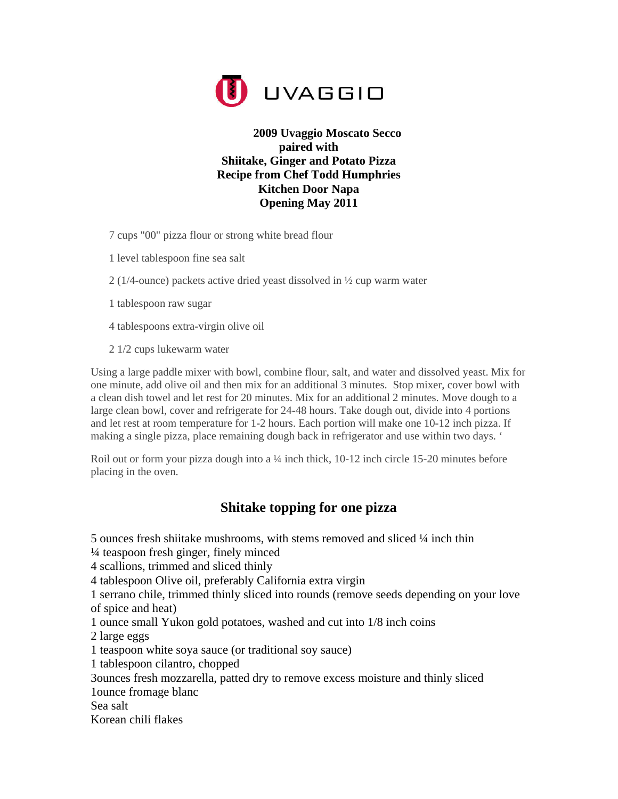

## **2009 Uvaggio Moscato Secco paired with Shiitake, Ginger and Potato Pizza Recipe from Chef Todd Humphries Kitchen Door Napa Opening May 2011**

7 cups "00" pizza flour or strong white bread flour

- 1 level tablespoon fine sea salt
- 2 (1/4-ounce) packets active dried yeast dissolved in ½ cup warm water
- 1 tablespoon raw sugar
- 4 tablespoons extra-virgin olive oil
- 2 1/2 cups lukewarm water

Using a large paddle mixer with bowl, combine flour, salt, and water and dissolved yeast. Mix for one minute, add olive oil and then mix for an additional 3 minutes. Stop mixer, cover bowl with a clean dish towel and let rest for 20 minutes. Mix for an additional 2 minutes. Move dough to a large clean bowl, cover and refrigerate for 24-48 hours. Take dough out, divide into 4 portions and let rest at room temperature for 1-2 hours. Each portion will make one 10-12 inch pizza. If making a single pizza, place remaining dough back in refrigerator and use within two days. '

Roil out or form your pizza dough into a  $\frac{1}{4}$  inch thick, 10-12 inch circle 15-20 minutes before placing in the oven.

## **Shitake topping for one pizza**

5 ounces fresh shiitake mushrooms, with stems removed and sliced ¼ inch thin

¼ teaspoon fresh ginger, finely minced

4 scallions, trimmed and sliced thinly

4 tablespoon Olive oil, preferably California extra virgin

1 serrano chile, trimmed thinly sliced into rounds (remove seeds depending on your love of spice and heat)

1 ounce small Yukon gold potatoes, washed and cut into 1/8 inch coins

2 large eggs

1 teaspoon white soya sauce (or traditional soy sauce)

1 tablespoon cilantro, chopped

3ounces fresh mozzarella, patted dry to remove excess moisture and thinly sliced

1ounce fromage blanc

Sea salt

Korean chili flakes